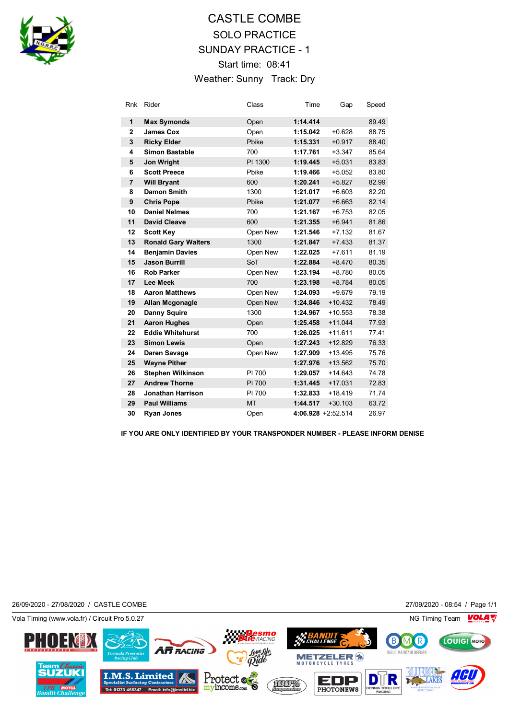

## CASTLE COMBE SOLO PRACTICE SUNDAY PRACTICE - 1 Start time: 08:41 Weather: Sunny Track: Dry

| <b>Rnk</b>     | Rider                      | Class     | Time     | Gap                | Speed |
|----------------|----------------------------|-----------|----------|--------------------|-------|
| 1              | <b>Max Symonds</b>         | Open      | 1:14.414 |                    | 89.49 |
| $\mathbf{2}$   | <b>James Cox</b>           | Open      | 1:15.042 | $+0.628$           | 88.75 |
| 3              | <b>Ricky Elder</b>         | Pbike     | 1:15.331 | $+0.917$           | 88.40 |
| 4              | <b>Simon Bastable</b>      | 700       | 1:17.761 | $+3.347$           | 85.64 |
| 5              | <b>Jon Wright</b>          | PI 1300   | 1:19.445 | $+5.031$           | 83.83 |
| 6              | <b>Scott Preece</b>        | Pbike     | 1:19.466 | $+5.052$           | 83.80 |
| $\overline{7}$ | <b>Will Bryant</b>         | 600       | 1:20.241 | $+5.827$           | 82.99 |
| 8              | Damon Smith                | 1300      | 1:21.017 | $+6.603$           | 82.20 |
| 9              | <b>Chris Pope</b>          | Pbike     | 1:21.077 | $+6.663$           | 82.14 |
| 10             | <b>Daniel Nelmes</b>       | 700       | 1:21.167 | $+6.753$           | 82.05 |
| 11             | <b>David Cleave</b>        | 600       | 1:21.355 | $+6.941$           | 81.86 |
| 12             | <b>Scott Key</b>           | Open New  | 1:21.546 | $+7.132$           | 81.67 |
| 13             | <b>Ronald Gary Walters</b> | 1300      | 1:21.847 | $+7.433$           | 81.37 |
| 14             | <b>Benjamin Davies</b>     | Open New  | 1:22.025 | $+7.611$           | 81.19 |
| 15             | <b>Jason Burrill</b>       | SoT       | 1:22.884 | $+8.470$           | 80.35 |
| 16             | <b>Rob Parker</b>          | Open New  | 1:23.194 | $+8.780$           | 80.05 |
| 17             | <b>Lee Meek</b>            | 700       | 1:23.198 | $+8.784$           | 80.05 |
| 18             | <b>Aaron Matthews</b>      | Open New  | 1:24.093 | $+9.679$           | 79.19 |
| 19             | <b>Allan Mcgonagle</b>     | Open New  | 1:24.846 | $+10.432$          | 78.49 |
| 20             | <b>Danny Squire</b>        | 1300      | 1:24.967 | $+10.553$          | 78.38 |
| 21             | <b>Aaron Hughes</b>        | Open      | 1:25.458 | $+11.044$          | 77.93 |
| 22             | <b>Eddie Whitehurst</b>    | 700       | 1:26.025 | $+11.611$          | 77.41 |
| 23             | <b>Simon Lewis</b>         | Open      | 1:27.243 | $+12.829$          | 76.33 |
| 24             | Daren Savage               | Open New  | 1:27.909 | $+13.495$          | 75.76 |
| 25             | <b>Wayne Pither</b>        |           | 1:27.976 | $+13.562$          | 75.70 |
| 26             | <b>Stephen Wilkinson</b>   | PI 700    | 1:29.057 | $+14.643$          | 74.78 |
| 27             | <b>Andrew Thorne</b>       | PI 700    | 1:31.445 | $+17.031$          | 72.83 |
| 28             | <b>Jonathan Harrison</b>   | PI 700    | 1:32.833 | $+18.419$          | 71.74 |
| 29             | <b>Paul Williams</b>       | <b>MT</b> | 1:44.517 | $+30.103$          | 63.72 |
| 30             | <b>Ryan Jones</b>          | Open      |          | 4:06.928 +2:52.514 | 26.97 |

**IF YOU ARE ONLY IDENTIFIED BY YOUR TRANSPONDER NUMBER - PLEASE INFORM DENISE**

26/09/2020 - 27/08/2020 / CASTLE COMBE 27/09/2020 - 08:54 / Page 1/1

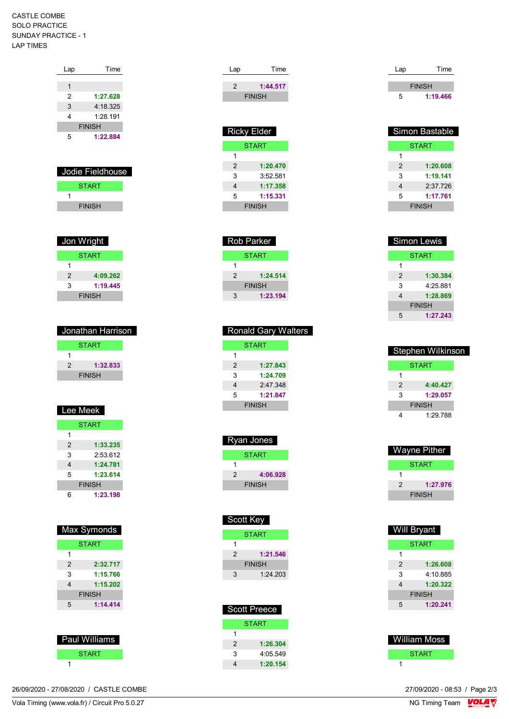CASTLE COMBE SOLO PRACTICE SUNDAY PRACTICE - 1 LAP TIMES

| Lap              | Time          |  |
|------------------|---------------|--|
|                  |               |  |
| 1                |               |  |
| 2                | 1:27.628      |  |
| 3                | 4:18.325      |  |
| 4                | 1.28 191      |  |
|                  | <b>FINISH</b> |  |
| 5                | 1:22.884      |  |
|                  |               |  |
|                  |               |  |
|                  |               |  |
| Jodie Fieldhouse |               |  |

| <b>START</b>  |  |
|---------------|--|
|               |  |
| <b>FINISH</b> |  |
|               |  |

| Jon Wright    |          |  |
|---------------|----------|--|
| <b>START</b>  |          |  |
| 1             |          |  |
| 2             | 4:09.262 |  |
| 3             | 1:19.445 |  |
| <b>FINISH</b> |          |  |

| Jonathan Harrison |               |  |
|-------------------|---------------|--|
|                   | <b>START</b>  |  |
|                   |               |  |
| 2                 | 1:32.833      |  |
|                   | <b>FINISH</b> |  |
|                   |               |  |

| Lee Meek       |               |  |
|----------------|---------------|--|
|                | <b>START</b>  |  |
| 1              |               |  |
| $\mathfrak{p}$ | 1:33.235      |  |
| 3              | 2:53.612      |  |
| 4              | 1:24.781      |  |
| 5              | 1:23.614      |  |
|                | <b>FINISH</b> |  |
| հ              | 1:23.198      |  |

| <b>Max Symonds</b> |               |  |
|--------------------|---------------|--|
| <b>START</b>       |               |  |
| 1                  |               |  |
| $\mathfrak{p}$     | 2:32.717      |  |
| 3                  | 1:15.766      |  |
| 4                  | 1:15.202      |  |
|                    | <b>FINISH</b> |  |
| 5                  | 1:14.414      |  |
|                    |               |  |
|                    |               |  |

| Paul Williams |
|---------------|
| <b>START</b>  |
|               |

26/09/2020 - 27/08/2020 / CASTLE COMBE

| Lap           | Time          |
|---------------|---------------|
| $\mathcal{P}$ | 1:44.517      |
|               | <b>FINISH</b> |
|               |               |

| <b>Ricky Elder</b> |          |  |
|--------------------|----------|--|
| <b>START</b>       |          |  |
|                    |          |  |
| $\mathcal{P}$      | 1:20.470 |  |
| 3                  | 3:52.581 |  |
| 4                  | 1:17.358 |  |
| 5                  | 1:15.331 |  |
| <b>FINISH</b>      |          |  |
|                    |          |  |

| Rob Parker   |               |  |
|--------------|---------------|--|
| <b>START</b> |               |  |
| 1            |               |  |
| 2            | 1:24.514      |  |
|              | <b>FINISH</b> |  |
| 3            | 1:23.194      |  |
|              |               |  |

| <b>Ronald Gary Walters</b> |               |  |
|----------------------------|---------------|--|
|                            | START         |  |
|                            |               |  |
| $\mathcal{P}$              | 1:27.843      |  |
| 3                          | 1:24.709      |  |
| 4                          | 2:47.348      |  |
| 5                          | 1:21.847      |  |
|                            | <b>FINISH</b> |  |

| Ryan Jones    |          |  |
|---------------|----------|--|
| <b>START</b>  |          |  |
|               |          |  |
| 2             | 4:06.928 |  |
| <b>FINISH</b> |          |  |

|               | Scott Key    |
|---------------|--------------|
|               | <b>START</b> |
|               |              |
| 2             | 1:21.546     |
| <b>FINISH</b> |              |
| 3             | 1.24203      |
|               |              |

| <b>Scott Preece</b> |              |
|---------------------|--------------|
|                     | <b>START</b> |
| 1                   |              |
| 2                   | 1:26.304     |
| 3                   | 4:05.549     |
|                     | 1:20.154     |

| Lap           | Time     |
|---------------|----------|
|               |          |
| <b>FINISH</b> |          |
| 5             | 1:19.466 |

|               | Simon Bastable |  |
|---------------|----------------|--|
| START         |                |  |
| 1             |                |  |
| 2             | 1:20.608       |  |
| 3             | 1:19.141       |  |
| 4             | 2:37.726       |  |
| 5             | 1:17.761       |  |
| <b>FINISH</b> |                |  |

| <b>Simon Lewis</b> |  |
|--------------------|--|
| <b>START</b>       |  |
|                    |  |
| 1:30.384           |  |
| 4:25.881           |  |
| 1:28.869           |  |
| <b>FINISH</b>      |  |
| 1:27.243           |  |
|                    |  |

| Stephen Wilkinson |               |  |
|-------------------|---------------|--|
|                   | START         |  |
|                   |               |  |
| 2                 | 4:40.427      |  |
| 3                 | 1:29.057      |  |
|                   | <b>FINISH</b> |  |
|                   | 1:29.788      |  |

|               | Wayne Pither |  |
|---------------|--------------|--|
|               | START        |  |
| 1             |              |  |
| $\mathcal{P}$ | 1:27.976     |  |
| <b>FINISH</b> |              |  |

| <b>Will Bryant</b> |              |
|--------------------|--------------|
|                    | <b>START</b> |
| 1                  |              |
| 2                  | 1:26.608     |
| 3                  | 4:10 885     |
| 4                  | 1:20.322     |
| <b>FINISH</b>      |              |
| 5                  | 1:20.241     |
|                    |              |

| William Moss |  |
|--------------|--|
| <b>START</b> |  |
|              |  |